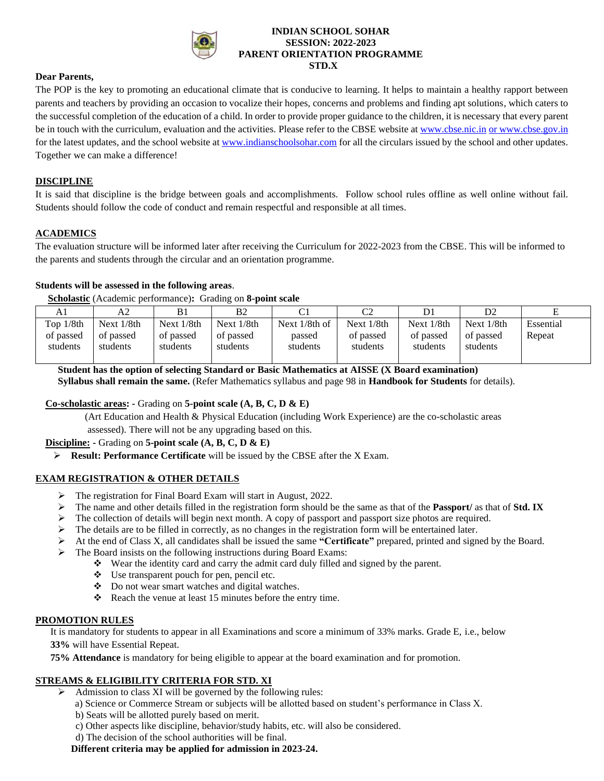

#### **INDIAN SCHOOL SOHAR SESSION: 2022-2023 PARENT ORIENTATION PROGRAMME STD.X**

#### **Dear Parents,**

The POP is the key to promoting an educational climate that is conducive to learning. It helps to maintain a healthy rapport between parents and teachers by providing an occasion to vocalize their hopes, concerns and problems and finding apt solutions, which caters to the successful completion of the education of a child. In order to provide proper guidance to the children, it is necessary that every parent be in touch with the curriculum, evaluation and the activities. Please refer to the CBSE website at [www.cbse.nic.in](http://www.cbse.nic.in/) or www.cbse.gov.in for the latest updates, and the school website at [www.indianschoolsohar.com](http://www.indianschoolsohar.com/) for all the circulars issued by the school and other updates. Together we can make a difference!

#### **DISCIPLINE**

It is said that discipline is the bridge between goals and accomplishments. Follow school rules offline as well online without fail. Students should follow the code of conduct and remain respectful and responsible at all times.

# **ACADEMICS**

The evaluation structure will be informed later after receiving the Curriculum for 2022-2023 from the CBSE. This will be informed to the parents and students through the circular and an orientation programme.

#### **Students will be assessed in the following areas**.

#### **Scholastic** (Academic performance)**:** Grading on **8-point scale**

| Αl          | A2            | B1            | B2            | ◡⊥               |               |               | D <sub>2</sub> |           |
|-------------|---------------|---------------|---------------|------------------|---------------|---------------|----------------|-----------|
| Top $1/8th$ | Next $1/8$ th | Next $1/8$ th | Next $1/8$ th | Next $1/8$ th of | Next $1/8$ th | Next $1/8$ th | Next $1/8$ th  | Essential |
| of passed   | of passed     | of passed     | of passed     | passed           | of passed     | of passed     | of passed      | Repeat    |
| students    | students      | students      | students      | students         | students      | students      | students       |           |
|             |               |               |               |                  |               |               |                |           |

 **Student has the option of selecting Standard or Basic Mathematics at AISSE (X Board examination)**

 **Syllabus shall remain the same.** (Refer Mathematics syllabus and page 98 in **Handbook for Students** for details).

#### **Co-scholastic areas: -** Grading on **5-point scale (A, B, C, D & E)**

 (Art Education and Health & Physical Education (including Work Experience) are the co-scholastic areas assessed). There will not be any upgrading based on this.

#### **Discipline: -** Grading on **5-point scale (A, B, C, D & E)**

➢ **Result: Performance Certificate** will be issued by the CBSE after the X Exam.

#### **EXAM REGISTRATION & OTHER DETAILS**

- ➢ The registration for Final Board Exam will start in August, 2022.
- ➢ The name and other details filled in the registration form should be the same as that of the **Passport/** as that of **Std. IX**
- $\triangleright$  The collection of details will begin next month. A copy of passport and passport size photos are required.
- $\triangleright$  The details are to be filled in correctly, as no changes in the registration form will be entertained later.
- ➢ At the end of Class X, all candidates shall be issued the same **"Certificate"** prepared, printed and signed by the Board.
- ➢ The Board insists on the following instructions during Board Exams:
	- ❖ Wear the identity card and carry the admit card duly filled and signed by the parent.
	- ❖ Use transparent pouch for pen, pencil etc.
	- ❖ Do not wear smart watches and digital watches.
	- ❖ Reach the venue at least 15 minutes before the entry time.

## **PROMOTION RULES**

 It is mandatory for students to appear in all Examinations and score a minimum of 33% marks. Grade E, i.e., below **33%** will have Essential Repeat.

 **75% Attendance** is mandatory for being eligible to appear at the board examination and for promotion.

# **STREAMS & ELIGIBILITY CRITERIA FOR STD. XI**

- ➢ Admission to class XI will be governed by the following rules:
	- a) Science or Commerce Stream or subjects will be allotted based on student's performance in Class X.
	- b) Seats will be allotted purely based on merit.
	- c) Other aspects like discipline, behavior/study habits, etc. will also be considered.
	- d) The decision of the school authorities will be final.

# **Different criteria may be applied for admission in 2023-24.**